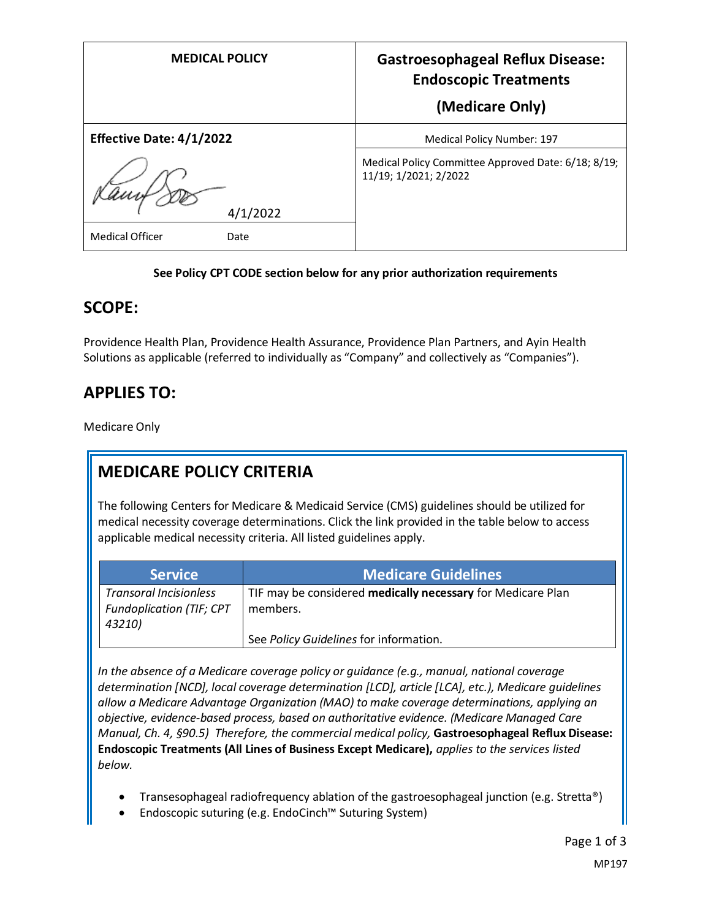| <b>MEDICAL POLICY</b>           | <b>Gastroesophageal Reflux Disease:</b><br><b>Endoscopic Treatments</b><br>(Medicare Only) |
|---------------------------------|--------------------------------------------------------------------------------------------|
| <b>Effective Date: 4/1/2022</b> | Medical Policy Number: 197                                                                 |
| 4/1/2022                        | Medical Policy Committee Approved Date: 6/18; 8/19;<br>11/19; 1/2021; 2/2022               |
| <b>Medical Officer</b><br>Date  |                                                                                            |

#### **See Policy CPT CODE section below for any prior authorization requirements**

#### **SCOPE:**

Providence Health Plan, Providence Health Assurance, Providence Plan Partners, and Ayin Health Solutions as applicable (referred to individually as "Company" and collectively as "Companies").

## **APPLIES TO:**

Medicare Only

## **MEDICARE POLICY CRITERIA**

The following Centers for Medicare & Medicaid Service (CMS) guidelines should be utilized for medical necessity coverage determinations. Click the link provided in the table below to access applicable medical necessity criteria. All listed guidelines apply.

| <b>Service</b>                  | <b>Medicare Guidelines</b>                                  |
|---------------------------------|-------------------------------------------------------------|
| <b>Transoral Incisionless</b>   | TIF may be considered medically necessary for Medicare Plan |
| <b>Fundoplication (TIF; CPT</b> | members.                                                    |
| 43210)                          |                                                             |
|                                 | See Policy Guidelines for information.                      |

*In the absence of a Medicare coverage policy or guidance (e.g., manual, national coverage determination [NCD], local coverage determination [LCD], article [LCA], etc.), Medicare guidelines allow a Medicare Advantage Organization (MAO) to make coverage determinations, applying an objective, evidence-based process, based on authoritative evidence. (Medicare Managed Care Manual, Ch. 4, §90.5) Therefore, the commercial medical policy,* **Gastroesophageal Reflux Disease: Endoscopic Treatments (All Lines of Business Except Medicare),** *applies to the services listed below.* 

- Transesophageal radiofrequency ablation of the gastroesophageal junction (e.g. Stretta®)
- Endoscopic suturing (e.g. EndoCinch™ Suturing System)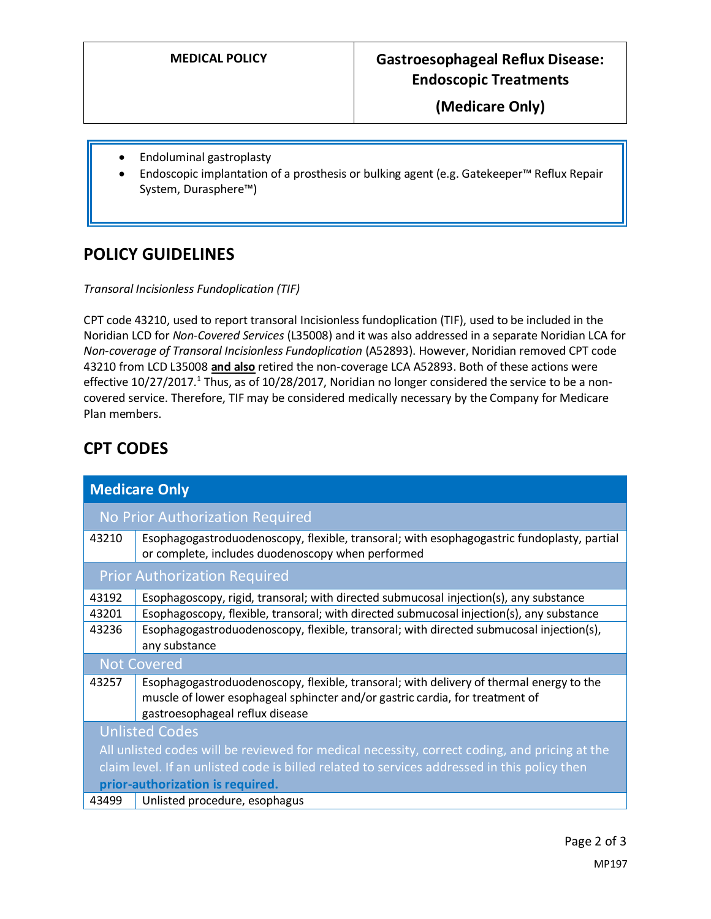### **MEDICAL POLICY Gastroesophageal Reflux Disease: Endoscopic Treatments**

**(Medicare Only)**

- Endoluminal gastroplasty
- Endoscopic implantation of a prosthesis or bulking agent (e.g. Gatekeeper™ Reflux Repair System, Durasphere™)

## **POLICY GUIDELINES**

*Transoral Incisionless Fundoplication (TIF)*

CPT code 43210, used to report transoral Incisionless fundoplication (TIF), used to be included in the Noridian LCD for *Non-Covered Services* (L35008) and it was also addressed in a separate Noridian LCA for *Non-coverage of Transoral Incisionless Fundoplication* (A52893). However, Noridian removed CPT code 43210 from LCD L35008 **and also** retired the non-coverage LCA A52893. Both of these actions were effective 10/27/2017.<sup>1</sup> Thus, as of 10/28/2017, Noridian no longer considered the service to be a noncovered service. Therefore, TIF may be considered medically necessary by the Company for Medicare Plan members.

# **CPT CODES**

| <b>Medicare Only</b>                                                                          |                                                                                                                                                                                                            |
|-----------------------------------------------------------------------------------------------|------------------------------------------------------------------------------------------------------------------------------------------------------------------------------------------------------------|
|                                                                                               | No Prior Authorization Required                                                                                                                                                                            |
| 43210                                                                                         | Esophagogastroduodenoscopy, flexible, transoral; with esophagogastric fundoplasty, partial<br>or complete, includes duodenoscopy when performed                                                            |
|                                                                                               | <b>Prior Authorization Required</b>                                                                                                                                                                        |
| 43192                                                                                         | Esophagoscopy, rigid, transoral; with directed submucosal injection(s), any substance                                                                                                                      |
| 43201                                                                                         | Esophagoscopy, flexible, transoral; with directed submucosal injection(s), any substance                                                                                                                   |
| 43236                                                                                         | Esophagogastroduodenoscopy, flexible, transoral; with directed submucosal injection(s),                                                                                                                    |
|                                                                                               | any substance                                                                                                                                                                                              |
| <b>Not Covered</b>                                                                            |                                                                                                                                                                                                            |
| 43257                                                                                         | Esophagogastroduodenoscopy, flexible, transoral; with delivery of thermal energy to the<br>muscle of lower esophageal sphincter and/or gastric cardia, for treatment of<br>gastroesophageal reflux disease |
|                                                                                               | <b>Unlisted Codes</b>                                                                                                                                                                                      |
| All unlisted codes will be reviewed for medical necessity, correct coding, and pricing at the |                                                                                                                                                                                                            |
| claim level. If an unlisted code is billed related to services addressed in this policy then  |                                                                                                                                                                                                            |
| prior-authorization is required.                                                              |                                                                                                                                                                                                            |
| 43499                                                                                         | Unlisted procedure, esophagus                                                                                                                                                                              |